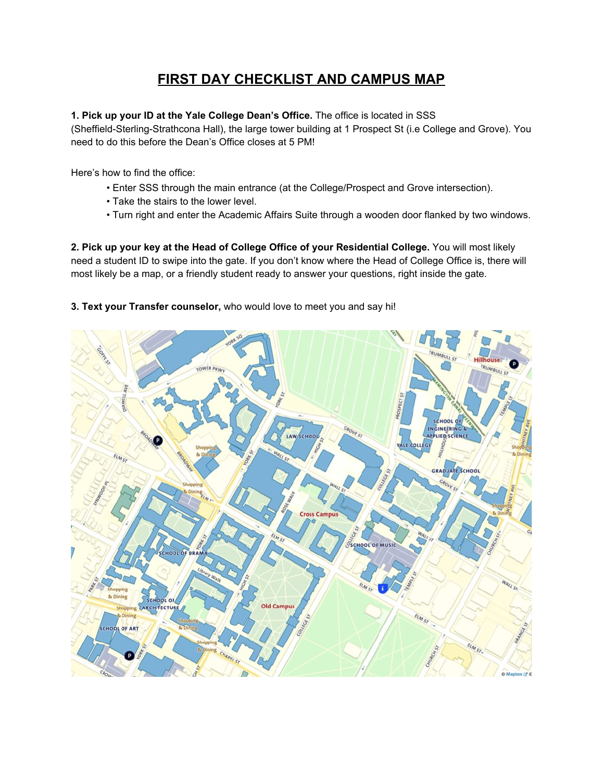# **FIRST DAY CHECKLIST AND CAMPUS MAP**

#### **1. Pick up your ID at the Yale College Dean's Office.** The office is located in SSS

(Sheffield-Sterling-Strathcona Hall), the large tower building at 1 Prospect St (i.e College and Grove). You need to do this before the Dean's Office closes at 5 PM!

Here's how to find the office:

- Enter SSS through the main entrance (at the College/Prospect and Grove intersection).
- Take the stairs to the lower level.
- Turn right and enter the Academic Affairs Suite through a wooden door flanked by two windows.

**2. Pick up your key at the Head of College Office of your Residential College.** You will most likely need a student ID to swipe into the gate. If you don't know where the Head of College Office is, there will most likely be a map, or a friendly student ready to answer your questions, right inside the gate.

### **3. Text your Transfer counselor,** who would love to meet you and say hi!

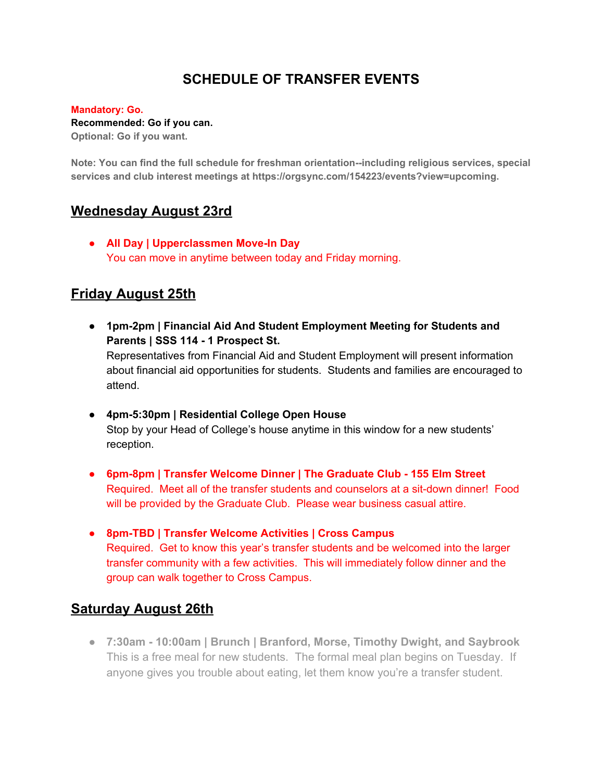## **SCHEDULE OF TRANSFER EVENTS**

#### **Mandatory: Go.**

#### **Recommended: Go if you can.**

**Optional: Go if you want.**

**Note: You can find the full schedule for freshman orientation--including religious services, special services and club interest meetings at https://orgsync.com/154223/events?view=upcoming.**

### **Wednesday August 23rd**

**● All Day | Upperclassmen Move-In Day** You can move in anytime between today and Friday morning.

## **Friday August 25th**

- **● 1pm-2pm | Financial Aid And Student Employment Meeting for Students and Parents | SSS 114 - 1 Prospect St.** Representatives from Financial Aid and Student Employment will present information about financial aid opportunities for students. Students and families are encouraged to attend.
- **● 4pm-5:30pm | Residential College Open House** Stop by your Head of College's house anytime in this window for a new students' reception.
- **● 6pm-8pm | Transfer Welcome Dinner | The Graduate Club - 155 Elm Street** Required. Meet all of the transfer students and counselors at a sit-down dinner! Food will be provided by the Graduate Club. Please wear business casual attire.
- **● 8pm-TBD | Transfer Welcome Activities | Cross Campus** Required. Get to know this year's transfer students and be welcomed into the larger transfer community with a few activities. This will immediately follow dinner and the group can walk together to Cross Campus.

### **Saturday August 26th**

**● 7:30am - 10:00am | Brunch | Branford, Morse, Timothy Dwight, and Saybrook** This is a free meal for new students. The formal meal plan begins on Tuesday. If anyone gives you trouble about eating, let them know you're a transfer student.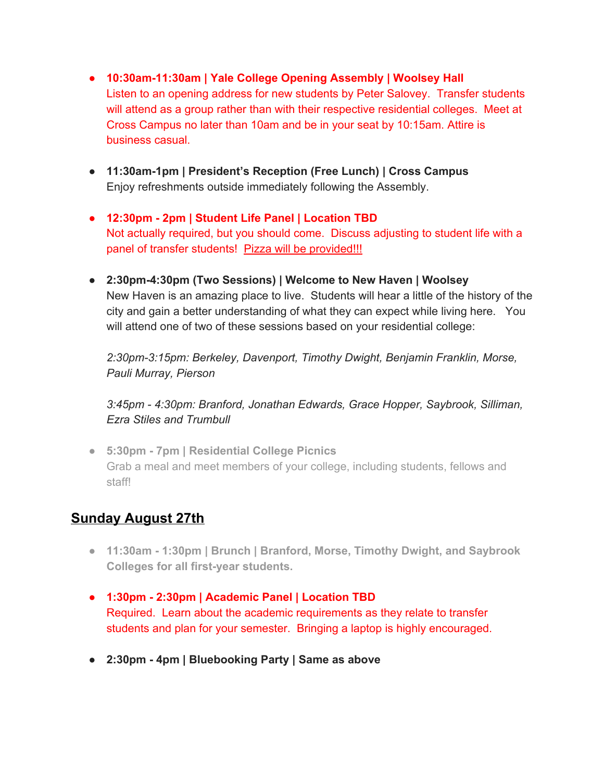- **● 10:30am-11:30am | Yale College Opening Assembly | Woolsey Hall** Listen to an opening address for new students by Peter Salovey. Transfer students will attend as a group rather than with their respective residential colleges. Meet at Cross Campus no later than 10am and be in your seat by 10:15am. Attire is business casual.
- **● 11:30am-1pm | President's Reception (Free Lunch) | Cross Campus** Enjoy refreshments outside immediately following the Assembly.
- **● 12:30pm - 2pm | Student Life Panel | Location TBD** Not actually required, but you should come. Discuss adjusting to student life with a panel of transfer students! Pizza will be provided!!!
- **● 2:30pm-4:30pm (Two Sessions) | Welcome to New Haven | Woolsey** New Haven is an amazing place to live. Students will hear a little of the history of the city and gain a better understanding of what they can expect while living here. You will attend one of two of these sessions based on your residential college:

*2:30pm-3:15pm: Berkeley, Davenport, Timothy Dwight, Benjamin Franklin, Morse, Pauli Murray, Pierson*

*3:45pm - 4:30pm: Branford, Jonathan Edwards, Grace Hopper, Saybrook, Silliman, Ezra Stiles and Trumbull*

**● 5:30pm - 7pm | Residential College Picnics** Grab a meal and meet members of your college, including students, fellows and staff!

## **Sunday August 27th**

- **● 11:30am - 1:30pm | Brunch | Branford, Morse, Timothy Dwight, and Saybrook Colleges for all first-year students.**
- **● 1:30pm - 2:30pm | Academic Panel | Location TBD** Required. Learn about the academic requirements as they relate to transfer students and plan for your semester. Bringing a laptop is highly encouraged.
- **● 2:30pm - 4pm | Bluebooking Party | Same as above**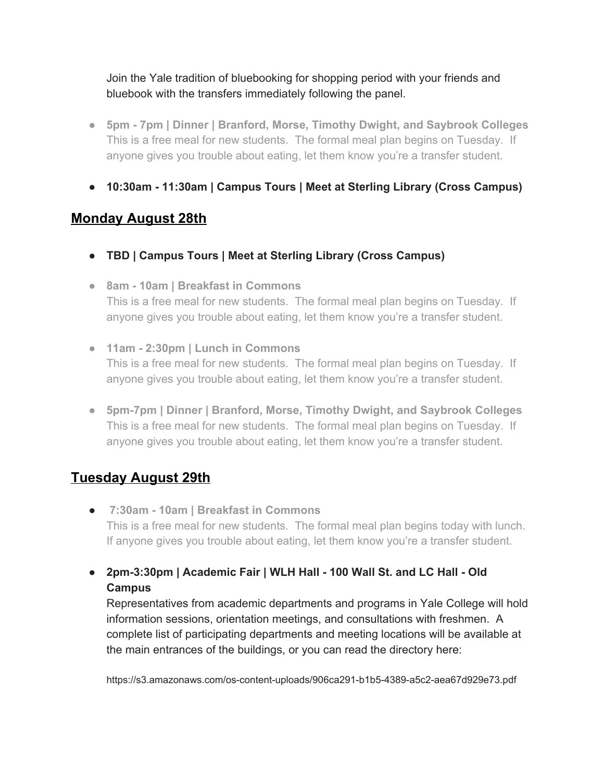Join the Yale tradition of bluebooking for shopping period with your friends and bluebook with the transfers immediately following the panel.

- **● 5pm - 7pm | Dinner | Branford, Morse, Timothy Dwight, and Saybrook Colleges** This is a free meal for new students. The formal meal plan begins on Tuesday. If anyone gives you trouble about eating, let them know you're a transfer student.
- **● 10:30am - 11:30am | Campus Tours | Meet at Sterling Library (Cross Campus)**

## **Monday August 28th**

- **● TBD | Campus Tours | Meet at Sterling Library (Cross Campus)**
- **● 8am - 10am | Breakfast in Commons** This is a free meal for new students. The formal meal plan begins on Tuesday. If anyone gives you trouble about eating, let them know you're a transfer student.
- **● 11am - 2:30pm | Lunch in Commons** This is a free meal for new students. The formal meal plan begins on Tuesday. If anyone gives you trouble about eating, let them know you're a transfer student.
- **● 5pm-7pm | Dinner | Branford, Morse, Timothy Dwight, and Saybrook Colleges** This is a free meal for new students. The formal meal plan begins on Tuesday. If anyone gives you trouble about eating, let them know you're a transfer student.

# **Tuesday August 29th**

- **● 7:30am - 10am | Breakfast in Commons** This is a free meal for new students. The formal meal plan begins today with lunch. If anyone gives you trouble about eating, let them know you're a transfer student.
- **● 2pm-3:30pm | Academic Fair | WLH Hall - 100 Wall St. and LC Hall - Old Campus**

Representatives from academic departments and programs in Yale College will hold information sessions, orientation meetings, and consultations with freshmen. A complete list of participating departments and meeting locations will be available at the main entrances of the buildings, or you can read the directory here:

https://s3.amazonaws.com/os-content-uploads/906ca291-b1b5-4389-a5c2-aea67d929e73.pdf